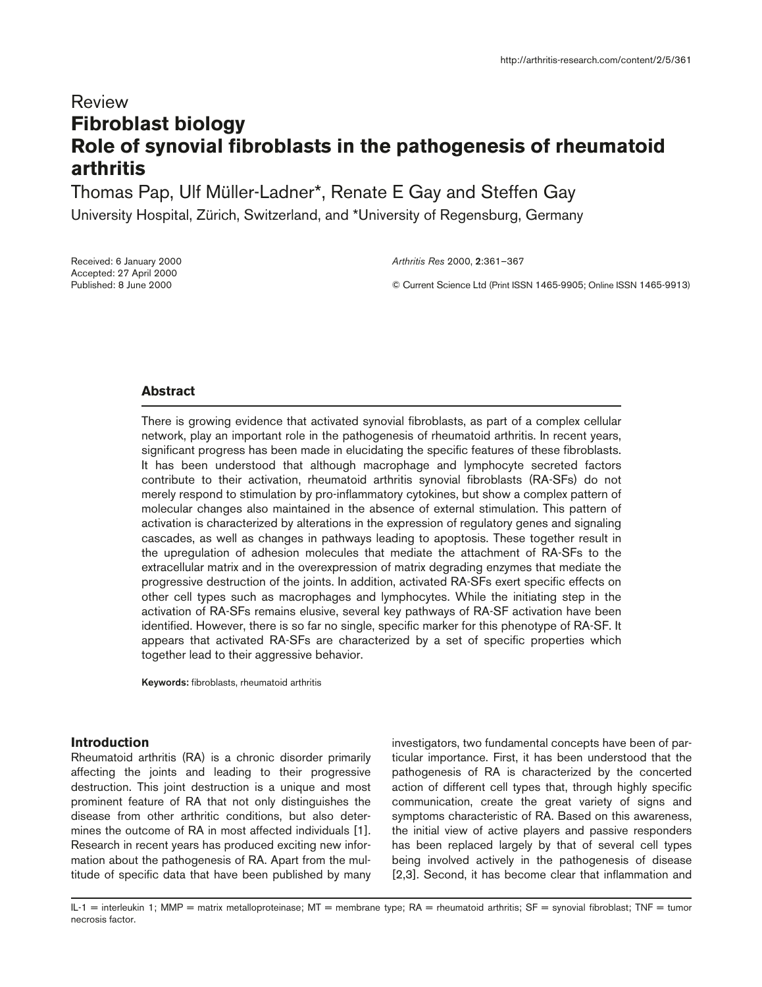# Review **Fibroblast biology Role of synovial fibroblasts in the pathogenesis of rheumatoid arthritis**

Thomas Pap, Ulf Müller-Ladner\*, Renate E Gay and Steffen Gay

University Hospital, Zürich, Switzerland, and \*University of Regensburg, Germany

Received: 6 January 2000 Accepted: 27 April 2000 Published: 8 June 2000

*Arthritis Res* 2000, **2**:361–367

© Current Science Ltd (Print ISSN 1465-9905; Online ISSN 1465-9913)

## **Abstract**

There is growing evidence that activated synovial fibroblasts, as part of a complex cellular network, play an important role in the pathogenesis of rheumatoid arthritis. In recent years, significant progress has been made in elucidating the specific features of these fibroblasts. It has been understood that although macrophage and lymphocyte secreted factors contribute to their activation, rheumatoid arthritis synovial fibroblasts (RA-SFs) do not merely respond to stimulation by pro-inflammatory cytokines, but show a complex pattern of molecular changes also maintained in the absence of external stimulation. This pattern of activation is characterized by alterations in the expression of regulatory genes and signaling cascades, as well as changes in pathways leading to apoptosis. These together result in the upregulation of adhesion molecules that mediate the attachment of RA-SFs to the extracellular matrix and in the overexpression of matrix degrading enzymes that mediate the progressive destruction of the joints. In addition, activated RA-SFs exert specific effects on other cell types such as macrophages and lymphocytes. While the initiating step in the activation of RA-SFs remains elusive, several key pathways of RA-SF activation have been identified. However, there is so far no single, specific marker for this phenotype of RA-SF. It appears that activated RA-SFs are characterized by a set of specific properties which together lead to their aggressive behavior.

**Keywords:** fibroblasts, rheumatoid arthritis

## **Introduction**

Rheumatoid arthritis (RA) is a chronic disorder primarily affecting the joints and leading to their progressive destruction. This joint destruction is a unique and most prominent feature of RA that not only distinguishes the disease from other arthritic conditions, but also determines the outcome of RA in most affected individuals [1]. Research in recent years has produced exciting new information about the pathogenesis of RA. Apart from the multitude of specific data that have been published by many

investigators, two fundamental concepts have been of particular importance. First, it has been understood that the pathogenesis of RA is characterized by the concerted action of different cell types that, through highly specific communication, create the great variety of signs and symptoms characteristic of RA. Based on this awareness, the initial view of active players and passive responders has been replaced largely by that of several cell types being involved actively in the pathogenesis of disease [2,3]. Second, it has become clear that inflammation and

IL-1 = interleukin 1; MMP = matrix metalloproteinase; MT = membrane type; RA = rheumatoid arthritis; SF = synovial fibroblast; TNF = tumor necrosis factor.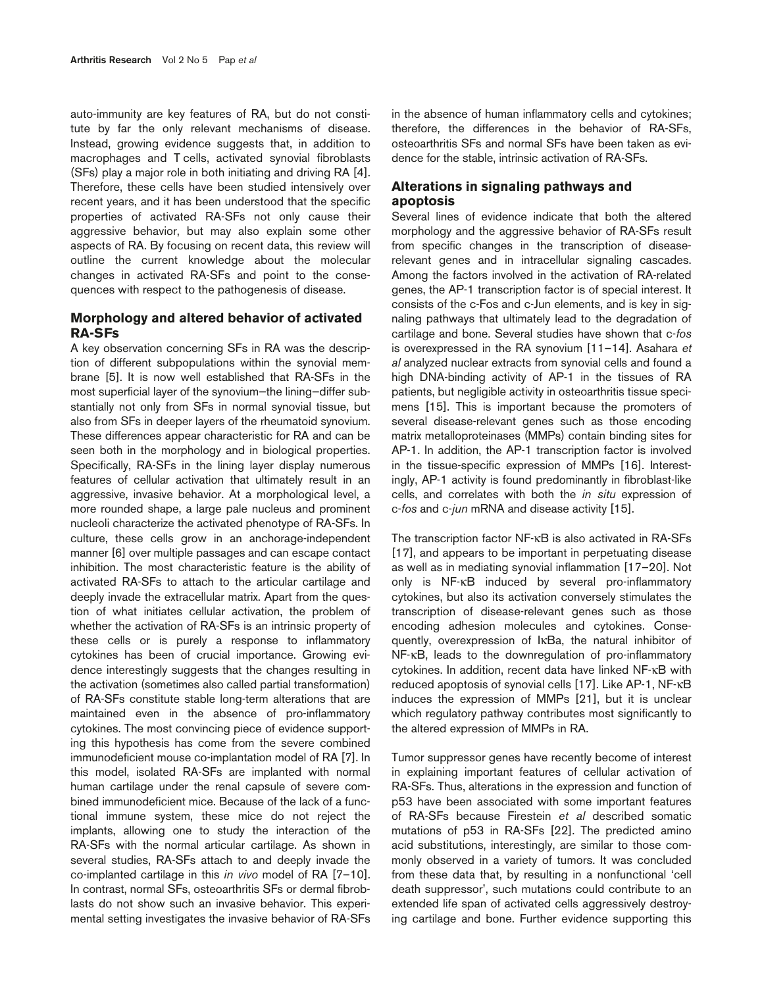auto-immunity are key features of RA, but do not constitute by far the only relevant mechanisms of disease. Instead, growing evidence suggests that, in addition to macrophages and T cells, activated synovial fibroblasts (SFs) play a major role in both initiating and driving RA [4]. Therefore, these cells have been studied intensively over recent years, and it has been understood that the specific properties of activated RA-SFs not only cause their aggressive behavior, but may also explain some other aspects of RA. By focusing on recent data, this review will outline the current knowledge about the molecular changes in activated RA-SFs and point to the consequences with respect to the pathogenesis of disease.

## **Morphology and altered behavior of activated RA-SFs**

A key observation concerning SFs in RA was the description of different subpopulations within the synovial membrane [5]. It is now well established that RA-SFs in the most superficial layer of the synovium—the lining—differ substantially not only from SFs in normal synovial tissue, but also from SFs in deeper layers of the rheumatoid synovium. These differences appear characteristic for RA and can be seen both in the morphology and in biological properties. Specifically, RA-SFs in the lining layer display numerous features of cellular activation that ultimately result in an aggressive, invasive behavior. At a morphological level, a more rounded shape, a large pale nucleus and prominent nucleoli characterize the activated phenotype of RA-SFs. In culture, these cells grow in an anchorage-independent manner [6] over multiple passages and can escape contact inhibition. The most characteristic feature is the ability of activated RA-SFs to attach to the articular cartilage and deeply invade the extracellular matrix. Apart from the question of what initiates cellular activation, the problem of whether the activation of RA-SFs is an intrinsic property of these cells or is purely a response to inflammatory cytokines has been of crucial importance. Growing evidence interestingly suggests that the changes resulting in the activation (sometimes also called partial transformation) of RA-SFs constitute stable long-term alterations that are maintained even in the absence of pro-inflammatory cytokines. The most convincing piece of evidence supporting this hypothesis has come from the severe combined immunodeficient mouse co-implantation model of RA [7]. In this model, isolated RA-SFs are implanted with normal human cartilage under the renal capsule of severe combined immunodeficient mice. Because of the lack of a functional immune system, these mice do not reject the implants, allowing one to study the interaction of the RA-SFs with the normal articular cartilage. As shown in several studies, RA-SFs attach to and deeply invade the co-implanted cartilage in this *in vivo* model of RA [7–10]. In contrast, normal SFs, osteoarthritis SFs or dermal fibroblasts do not show such an invasive behavior. This experimental setting investigates the invasive behavior of RA-SFs

in the absence of human inflammatory cells and cytokines; therefore, the differences in the behavior of RA-SFs, osteoarthritis SFs and normal SFs have been taken as evidence for the stable, intrinsic activation of RA-SFs.

## **Alterations in signaling pathways and apoptosis**

Several lines of evidence indicate that both the altered morphology and the aggressive behavior of RA-SFs result from specific changes in the transcription of diseaserelevant genes and in intracellular signaling cascades. Among the factors involved in the activation of RA-related genes, the AP-1 transcription factor is of special interest. It consists of the c-Fos and c-Jun elements, and is key in signaling pathways that ultimately lead to the degradation of cartilage and bone. Several studies have shown that c-*fos* is overexpressed in the RA synovium [11–14]. Asahara *et al* analyzed nuclear extracts from synovial cells and found a high DNA-binding activity of AP-1 in the tissues of RA patients, but negligible activity in osteoarthritis tissue specimens [15]. This is important because the promoters of several disease-relevant genes such as those encoding matrix metalloproteinases (MMPs) contain binding sites for AP-1. In addition, the AP-1 transcription factor is involved in the tissue-specific expression of MMPs [16]. Interestingly, AP-1 activity is found predominantly in fibroblast-like cells, and correlates with both the *in situ* expression of c-*fos* and c-*jun* mRNA and disease activity [15].

The transcription factor NF-κB is also activated in RA-SFs [17], and appears to be important in perpetuating disease as well as in mediating synovial inflammation [17–20]. Not only is NF-κB induced by several pro-inflammatory cytokines, but also its activation conversely stimulates the transcription of disease-relevant genes such as those encoding adhesion molecules and cytokines. Consequently, overexpression of IκBa, the natural inhibitor of NF-κB, leads to the downregulation of pro-inflammatory cytokines. In addition, recent data have linked NF-κB with reduced apoptosis of synovial cells [17]. Like AP-1, NF-κB induces the expression of MMPs [21], but it is unclear which regulatory pathway contributes most significantly to the altered expression of MMPs in RA.

Tumor suppressor genes have recently become of interest in explaining important features of cellular activation of RA-SFs. Thus, alterations in the expression and function of p53 have been associated with some important features of RA-SFs because Firestein *et al* described somatic mutations of p53 in RA-SFs [22]. The predicted amino acid substitutions, interestingly, are similar to those commonly observed in a variety of tumors. It was concluded from these data that, by resulting in a nonfunctional 'cell death suppressor', such mutations could contribute to an extended life span of activated cells aggressively destroying cartilage and bone. Further evidence supporting this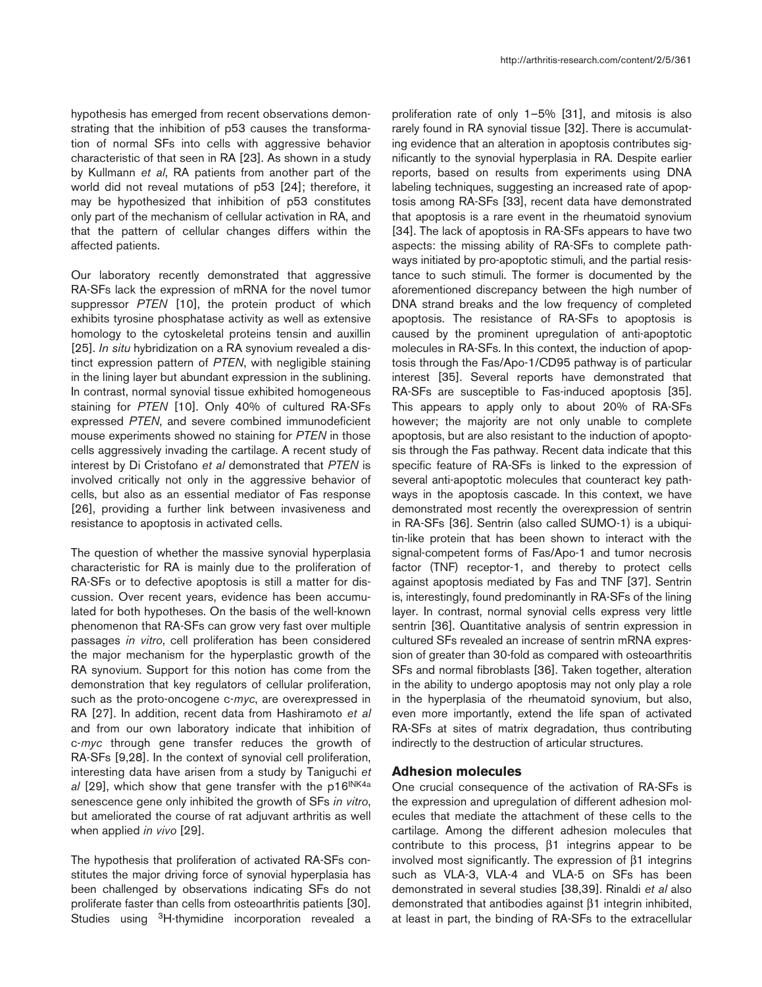hypothesis has emerged from recent observations demonstrating that the inhibition of p53 causes the transformation of normal SFs into cells with aggressive behavior characteristic of that seen in RA [23]. As shown in a study by Kullmann *et al*, RA patients from another part of the world did not reveal mutations of p53 [24]; therefore, it may be hypothesized that inhibition of p53 constitutes only part of the mechanism of cellular activation in RA, and that the pattern of cellular changes differs within the affected patients.

Our laboratory recently demonstrated that aggressive RA-SFs lack the expression of mRNA for the novel tumor suppressor *PTEN* [10], the protein product of which exhibits tyrosine phosphatase activity as well as extensive homology to the cytoskeletal proteins tensin and auxillin [25]. *In situ* hybridization on a RA synovium revealed a distinct expression pattern of *PTEN*, with negligible staining in the lining layer but abundant expression in the sublining. In contrast, normal synovial tissue exhibited homogeneous staining for *PTEN* [10]. Only 40% of cultured RA-SFs expressed *PTEN*, and severe combined immunodeficient mouse experiments showed no staining for *PTEN* in those cells aggressively invading the cartilage. A recent study of interest by Di Cristofano *et al* demonstrated that *PTEN* is involved critically not only in the aggressive behavior of cells, but also as an essential mediator of Fas response [26], providing a further link between invasiveness and resistance to apoptosis in activated cells.

The question of whether the massive synovial hyperplasia characteristic for RA is mainly due to the proliferation of RA-SFs or to defective apoptosis is still a matter for discussion. Over recent years, evidence has been accumulated for both hypotheses. On the basis of the well-known phenomenon that RA-SFs can grow very fast over multiple passages *in vitro*, cell proliferation has been considered the major mechanism for the hyperplastic growth of the RA synovium. Support for this notion has come from the demonstration that key regulators of cellular proliferation, such as the proto-oncogene c-*myc*, are overexpressed in RA [27]. In addition, recent data from Hashiramoto *et al* and from our own laboratory indicate that inhibition of c-*myc* through gene transfer reduces the growth of RA-SFs [9,28]. In the context of synovial cell proliferation, interesting data have arisen from a study by Taniguchi *et al* [29], which show that gene transfer with the p16INK4a senescence gene only inhibited the growth of SFs *in vitro*, but ameliorated the course of rat adjuvant arthritis as well when applied *in vivo* [29].

The hypothesis that proliferation of activated RA-SFs constitutes the major driving force of synovial hyperplasia has been challenged by observations indicating SFs do not proliferate faster than cells from osteoarthritis patients [30]. Studies using <sup>3</sup>H-thymidine incorporation revealed a proliferation rate of only 1–5% [31], and mitosis is also rarely found in RA synovial tissue [32]. There is accumulating evidence that an alteration in apoptosis contributes significantly to the synovial hyperplasia in RA. Despite earlier reports, based on results from experiments using DNA labeling techniques, suggesting an increased rate of apoptosis among RA-SFs [33], recent data have demonstrated that apoptosis is a rare event in the rheumatoid synovium [34]. The lack of apoptosis in RA-SFs appears to have two aspects: the missing ability of RA-SFs to complete pathways initiated by pro-apoptotic stimuli, and the partial resistance to such stimuli. The former is documented by the aforementioned discrepancy between the high number of DNA strand breaks and the low frequency of completed apoptosis. The resistance of RA-SFs to apoptosis is caused by the prominent upregulation of anti-apoptotic molecules in RA-SFs. In this context, the induction of apoptosis through the Fas/Apo-1/CD95 pathway is of particular interest [35]. Several reports have demonstrated that RA-SFs are susceptible to Fas-induced apoptosis [35]. This appears to apply only to about 20% of RA-SFs however; the majority are not only unable to complete apoptosis, but are also resistant to the induction of apoptosis through the Fas pathway. Recent data indicate that this specific feature of RA-SFs is linked to the expression of several anti-apoptotic molecules that counteract key pathways in the apoptosis cascade. In this context, we have demonstrated most recently the overexpression of sentrin in RA-SFs [36]. Sentrin (also called SUMO-1) is a ubiquitin-like protein that has been shown to interact with the signal-competent forms of Fas/Apo-1 and tumor necrosis factor (TNF) receptor-1, and thereby to protect cells against apoptosis mediated by Fas and TNF [37]. Sentrin is, interestingly, found predominantly in RA-SFs of the lining layer. In contrast, normal synovial cells express very little sentrin [36]. Quantitative analysis of sentrin expression in cultured SFs revealed an increase of sentrin mRNA expression of greater than 30-fold as compared with osteoarthritis SFs and normal fibroblasts [36]. Taken together, alteration in the ability to undergo apoptosis may not only play a role in the hyperplasia of the rheumatoid synovium, but also, even more importantly, extend the life span of activated RA-SFs at sites of matrix degradation, thus contributing indirectly to the destruction of articular structures.

#### **Adhesion molecules**

One crucial consequence of the activation of RA-SFs is the expression and upregulation of different adhesion molecules that mediate the attachment of these cells to the cartilage. Among the different adhesion molecules that contribute to this process, β1 integrins appear to be involved most significantly. The expression of β1 integrins such as VLA-3, VLA-4 and VLA-5 on SFs has been demonstrated in several studies [38,39]. Rinaldi *et al* also demonstrated that antibodies against β1 integrin inhibited, at least in part, the binding of RA-SFs to the extracellular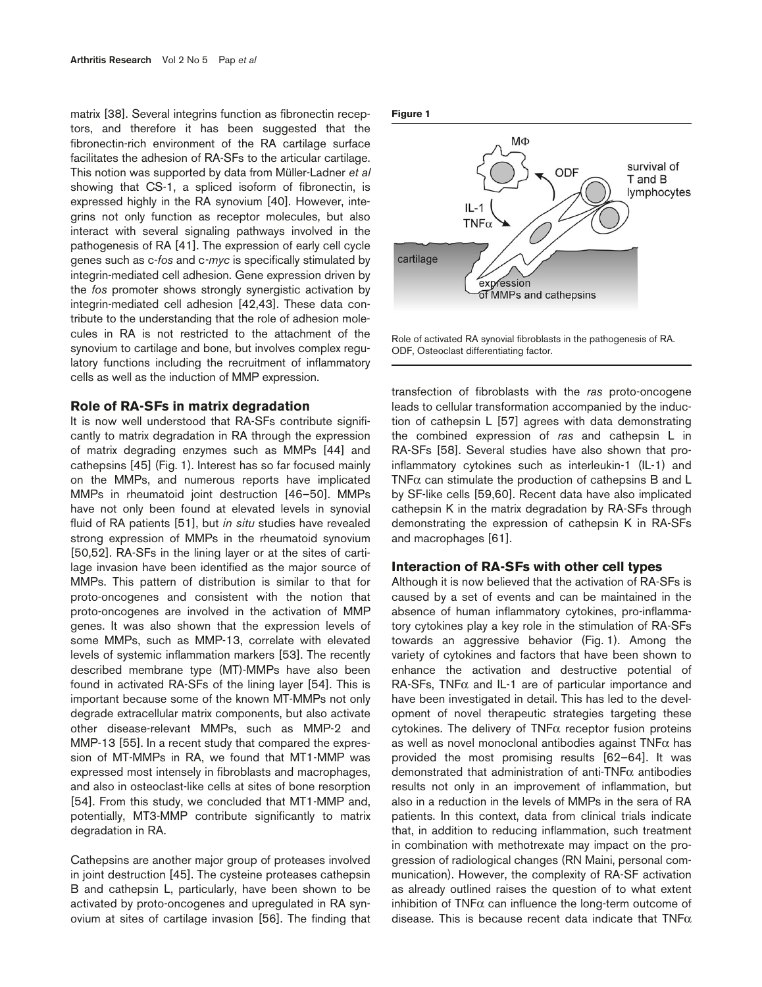matrix [38]. Several integrins function as fibronectin receptors, and therefore it has been suggested that the fibronectin-rich environment of the RA cartilage surface facilitates the adhesion of RA-SFs to the articular cartilage. This notion was supported by data from Müller-Ladner *et al* showing that CS-1, a spliced isoform of fibronectin, is expressed highly in the RA synovium [40]. However, integrins not only function as receptor molecules, but also interact with several signaling pathways involved in the pathogenesis of RA [41]. The expression of early cell cycle genes such as c-*fos* and c*-myc* is specifically stimulated by integrin-mediated cell adhesion. Gene expression driven by the *fos* promoter shows strongly synergistic activation by integrin-mediated cell adhesion [42,43]. These data contribute to the understanding that the role of adhesion molecules in RA is not restricted to the attachment of the synovium to cartilage and bone, but involves complex regulatory functions including the recruitment of inflammatory cells as well as the induction of MMP expression.

#### **Role of RA-SFs in matrix degradation**

It is now well understood that RA-SFs contribute significantly to matrix degradation in RA through the expression of matrix degrading enzymes such as MMPs [44] and cathepsins [45] (Fig. 1). Interest has so far focused mainly on the MMPs, and numerous reports have implicated MMPs in rheumatoid joint destruction [46–50]. MMPs have not only been found at elevated levels in synovial fluid of RA patients [51], but *in situ* studies have revealed strong expression of MMPs in the rheumatoid synovium [50,52]. RA-SFs in the lining layer or at the sites of cartilage invasion have been identified as the major source of MMPs. This pattern of distribution is similar to that for proto-oncogenes and consistent with the notion that proto-oncogenes are involved in the activation of MMP genes. It was also shown that the expression levels of some MMPs, such as MMP-13, correlate with elevated levels of systemic inflammation markers [53]. The recently described membrane type (MT)-MMPs have also been found in activated RA-SFs of the lining layer [54]. This is important because some of the known MT-MMPs not only degrade extracellular matrix components, but also activate other disease-relevant MMPs, such as MMP-2 and MMP-13 [55]. In a recent study that compared the expression of MT-MMPs in RA, we found that MT1-MMP was expressed most intensely in fibroblasts and macrophages, and also in osteoclast-like cells at sites of bone resorption [54]. From this study, we concluded that MT1-MMP and, potentially, MT3-MMP contribute significantly to matrix degradation in RA.

Cathepsins are another major group of proteases involved in joint destruction [45]. The cysteine proteases cathepsin B and cathepsin L, particularly, have been shown to be activated by proto-oncogenes and upregulated in RA synovium at sites of cartilage invasion [56]. The finding that

#### **Figure 1**



Role of activated RA synovial fibroblasts in the pathogenesis of RA. ODF, Osteoclast differentiating factor.

transfection of fibroblasts with the *ras* proto-oncogene leads to cellular transformation accompanied by the induction of cathepsin L [57] agrees with data demonstrating the combined expression of *ras* and cathepsin L in RA-SFs [58]. Several studies have also shown that proinflammatory cytokines such as interleukin-1 (IL-1) and TNF $\alpha$  can stimulate the production of cathepsins B and L by SF-like cells [59,60]. Recent data have also implicated cathepsin K in the matrix degradation by RA-SFs through demonstrating the expression of cathepsin K in RA-SFs and macrophages [61].

### **Interaction of RA-SFs with other cell types**

Although it is now believed that the activation of RA-SFs is caused by a set of events and can be maintained in the absence of human inflammatory cytokines, pro-inflammatory cytokines play a key role in the stimulation of RA-SFs towards an aggressive behavior (Fig. 1). Among the variety of cytokines and factors that have been shown to enhance the activation and destructive potential of RA-SFs, TNF $\alpha$  and IL-1 are of particular importance and have been investigated in detail. This has led to the development of novel therapeutic strategies targeting these cytokines. The delivery of  $TNF\alpha$  receptor fusion proteins as well as novel monoclonal antibodies against TNFα has provided the most promising results [62–64]. It was demonstrated that administration of anti-TNF $\alpha$  antibodies results not only in an improvement of inflammation, but also in a reduction in the levels of MMPs in the sera of RA patients. In this context, data from clinical trials indicate that, in addition to reducing inflammation, such treatment in combination with methotrexate may impact on the progression of radiological changes (RN Maini, personal communication). However, the complexity of RA-SF activation as already outlined raises the question of to what extent inhibition of  $TNF\alpha$  can influence the long-term outcome of disease. This is because recent data indicate that  $TNF\alpha$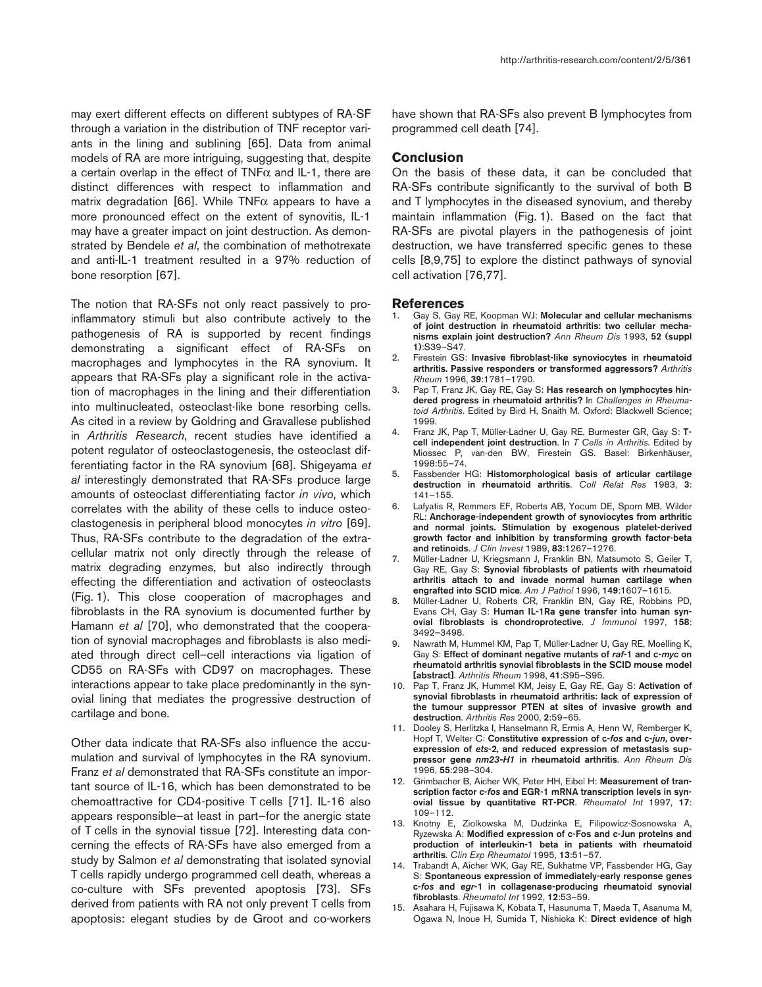may exert different effects on different subtypes of RA-SF through a variation in the distribution of TNF receptor variants in the lining and sublining [65]. Data from animal models of RA are more intriguing, suggesting that, despite a certain overlap in the effect of TNFα and IL-1, there are distinct differences with respect to inflammation and matrix degradation [66]. While TNF $\alpha$  appears to have a more pronounced effect on the extent of synovitis, IL-1 may have a greater impact on joint destruction. As demonstrated by Bendele *et al*, the combination of methotrexate and anti-IL-1 treatment resulted in a 97% reduction of bone resorption [67].

The notion that RA-SFs not only react passively to proinflammatory stimuli but also contribute actively to the pathogenesis of RA is supported by recent findings demonstrating a significant effect of RA-SFs on macrophages and lymphocytes in the RA synovium. It appears that RA-SFs play a significant role in the activation of macrophages in the lining and their differentiation into multinucleated, osteoclast-like bone resorbing cells. As cited in a review by Goldring and Gravallese published in *Arthritis Research*, recent studies have identified a potent regulator of osteoclastogenesis, the osteoclast differentiating factor in the RA synovium [68]. Shigeyama *et al* interestingly demonstrated that RA-SFs produce large amounts of osteoclast differentiating factor *in vivo*, which correlates with the ability of these cells to induce osteoclastogenesis in peripheral blood monocytes *in vitro* [69]. Thus, RA-SFs contribute to the degradation of the extracellular matrix not only directly through the release of matrix degrading enzymes, but also indirectly through effecting the differentiation and activation of osteoclasts (Fig. 1). This close cooperation of macrophages and fibroblasts in the RA synovium is documented further by Hamann *et al* [70], who demonstrated that the cooperation of synovial macrophages and fibroblasts is also mediated through direct cell–cell interactions via ligation of CD55 on RA-SFs with CD97 on macrophages. These interactions appear to take place predominantly in the synovial lining that mediates the progressive destruction of cartilage and bone.

Other data indicate that RA-SFs also influence the accumulation and survival of lymphocytes in the RA synovium. Franz *et al* demonstrated that RA-SFs constitute an important source of IL-16, which has been demonstrated to be chemoattractive for CD4-positive T cells [71]. IL-16 also appears responsible—at least in part—for the anergic state of T cells in the synovial tissue [72]. Interesting data concerning the effects of RA-SFs have also emerged from a study by Salmon *et al* demonstrating that isolated synovial T cells rapidly undergo programmed cell death, whereas a co-culture with SFs prevented apoptosis [73]. SFs derived from patients with RA not only prevent T cells from apoptosis: elegant studies by de Groot and co-workers have shown that RA-SFs also prevent B lymphocytes from programmed cell death [74].

## **Conclusion**

On the basis of these data, it can be concluded that RA-SFs contribute significantly to the survival of both B and T lymphocytes in the diseased synovium, and thereby maintain inflammation (Fig. 1). Based on the fact that RA-SFs are pivotal players in the pathogenesis of joint destruction, we have transferred specific genes to these cells [8,9,75] to explore the distinct pathways of synovial cell activation [76,77].

#### **References**

- 1. Gay S, Gay RE, Koopman WJ: **Molecular and cellular mechanisms of joint destruction in rheumatoid arthritis: two cellular mechanisms explain joint destruction?** *Ann Rheum Dis* 1993, **52 (suppl 1)**:S39–S47.
- 2. Firestein GS: **Invasive fibroblast-like synoviocytes in rheumatoid arthritis. Passive responders or transformed aggressors?** *Arthritis Rheum* 1996, **39**:1781–1790.
- 3. Pap T, Franz JK, Gay RE, Gay S: **Has research on lymphocytes hindered progress in rheumatoid arthritis?** In *Challenges in Rheumatoid Arthritis*. Edited by Bird H, Snaith M. Oxford: Blackwell Science; 1999.
- 4. Franz JK, Pap T, Müller-Ladner U, Gay RE, Burmester GR, Gay S: **Tcell independent joint destruction**. In *T Cells in Arthritis*. Edited by Miossec P, van-den BW, Firestein GS. Basel: Birkenhäuser, 1998:55–74.
- 5. Fassbender HG: **Histomorphological basis of articular cartilage destruction in rheumatoid arthritis**. *Coll Relat Res* 1983, **3**: 141–155.
- 6. Lafyatis R, Remmers EF, Roberts AB, Yocum DE, Sporn MB, Wilder RL: **Anchorage-independent growth of synoviocytes from arthritic and normal joints. Stimulation by exogenous platelet-derived growth factor and inhibition by transforming growth factor-beta and retinoids**. *J Clin Invest* 1989, **83**:1267–1276.
- 7. Müller-Ladner U, Kriegsmann J, Franklin BN, Matsumoto S, Geiler T, Gay RE, Gay S: **Synovial fibroblasts of patients with rheumatoid arthritis attach to and invade normal human cartilage when engrafted into SCID mice**. *Am J Pathol* 1996, **149**:1607–1615.
- 8. Müller-Ladner U, Roberts CR, Franklin BN, Gay RE, Robbins PD, Evans CH, Gay S: **Human IL-1Ra gene transfer into human synovial fibroblasts is chondroprotective**. *J Immunol* 1997, **158**: 3492–3498.
- 9. Nawrath M, Hummel KM, Pap T, Müller-Ladner U, Gay RE, Moelling K, Gay S: **Effect of dominant negative mutants of** *raf***-1 and c-***myc* **on rheumatoid arthritis synovial fibroblasts in the SCID mouse model [abstract]**. *Arthritis Rheum* 1998, **41**:S95–S95.
- 10. Pap T, Franz JK, Hummel KM, Jeisy E, Gay RE, Gay S: **Activation of synovial fibroblasts in rheumatoid arthritis: lack of expression of the tumour suppressor PTEN at sites of invasive growth and destruction**. *Arthritis Res* 2000, **2**:59–65.
- 11. Dooley S, Herlitzka I, Hanselmann R, Ermis A, Henn W, Remberger K, Hopf T, Welter C: **Constitutive expression of c-***fos* **and c-***jun***, overexpression of** *ets***-2, and reduced expression of metastasis suppressor gene** *nm23-H1* **in rheumatoid arthritis**. *Ann Rheum Dis* 1996, **55**:298–304.
- 12. Grimbacher B, Aicher WK, Peter HH, Eibel H: **Measurement of transcription factor c-***fos* **and EGR-1 mRNA transcription levels in synovial tissue by quantitative RT-PCR**. *Rheumatol Int* 1997, **17**: 109–112.
- 13. Knotny E, Ziolkowska M, Dudzinka E, Filipowicz-Sosnowska A, Ryzewska A: **Modified expression of c-Fos and c-Jun proteins and production of interleukin-1 beta in patients with rheumatoid arthritis**. *Clin Exp Rheumatol* 1995, **13**:51–57.
- 14. Trabandt A, Aicher WK, Gay RE, Sukhatme VP, Fassbender HG, Gay S: **Spontaneous expression of immediately-early response genes c-***fos* **and** *egr***-1 in collagenase-producing rheumatoid synovial fibroblasts**. *Rheumatol Int* 1992, **12**:53–59.
- 15. Asahara H, Fujisawa K, Kobata T, Hasunuma T, Maeda T, Asanuma M, Ogawa N, Inoue H, Sumida T, Nishioka K: **Direct evidence of high**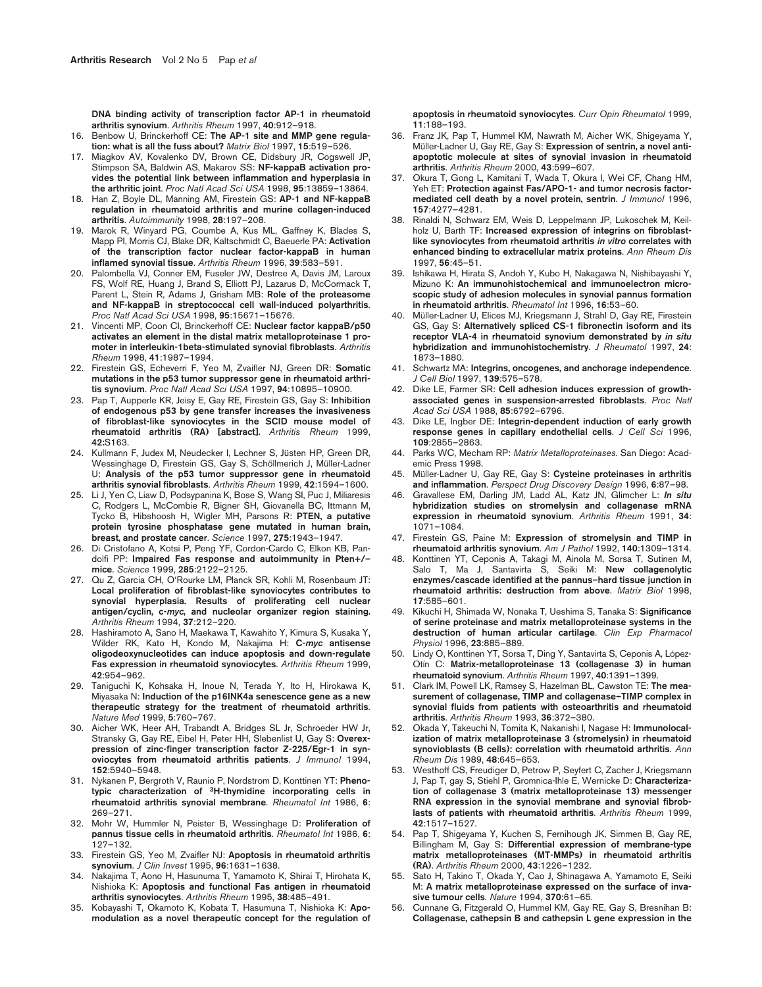**DNA binding activity of transcription factor AP-1 in rheumatoid arthritis synovium**. *Arthritis Rheum* 1997, **40**:912–918.

- 16. Benbow U, Brinckerhoff CE: **The AP-1 site and MMP gene regulation: what is all the fuss about?** *Matrix Biol* 1997, **15**:519–526.
- 17. Miagkov AV, Kovalenko DV, Brown CE, Didsbury JR, Cogswell JP, Stimpson SA, Baldwin AS, Makarov SS: **NF-kappaB activation provides the potential link between inflammation and hyperplasia in the arthritic joint**. *Proc Natl Acad Sci USA* 1998, **95**:13859–13864.
- 18. Han Z, Boyle DL, Manning AM, Firestein GS: **AP-1 and NF-kappaB regulation in rheumatoid arthritis and murine collagen-induced arthritis**. *Autoimmunity* 1998, **28**:197–208.
- 19. Marok R, Winyard PG, Coumbe A, Kus ML, Gaffney K, Blades S, Mapp PI, Morris CJ, Blake DR, Kaltschmidt C, Baeuerle PA: **Activation of the transcription factor nuclear factor-kappaB in human inflamed synovial tissue**. *Arthritis Rheum* 1996, **39**:583–591.
- 20. Palombella VJ, Conner EM, Fuseler JW, Destree A, Davis JM, Laroux FS, Wolf RE, Huang J, Brand S, Elliott PJ, Lazarus D, McCormack T, Parent L, Stein R, Adams J, Grisham MB: **Role of the proteasome and NF-kappaB in streptococcal cell wall-induced polyarthritis**. *Proc Natl Acad Sci USA* 1998, **95**:15671–15676.
- 21. Vincenti MP, Coon CI, Brinckerhoff CE: **Nuclear factor kappaB/p50 activates an element in the distal matrix metalloproteinase 1 promoter in interleukin-1beta-stimulated synovial fibroblasts**. *Arthritis Rheum* 1998, **41**:1987–1994.
- 22. Firestein GS, Echeverri F, Yeo M, Zvaifler NJ, Green DR: **Somatic mutations in the p53 tumor suppressor gene in rheumatoid arthritis synovium**. *Proc Natl Acad Sci USA* 1997, **94**:10895–10900.
- 23. Pap T, Aupperle KR, Jeisy E, Gay RE, Firestein GS, Gay S: **Inhibition of endogenous p53 by gene transfer increases the invasiveness of fibroblast-like synoviocytes in the SCID mouse model of rheumatoid arthritis (RA) [abstract].** *Arthritis Rheum* 1999, **42:**S163.
- 24. Kullmann F, Judex M, Neudecker I, Lechner S, Jüsten HP, Green DR, Wessinghage D, Firestein GS, Gay S, Schöllmerich J, Müller-Ladner U: **Analysis of the p53 tumor suppressor gene in rheumatoid arthritis synovial fibroblasts**. *Arthritis Rheum* 1999, **42**:1594–1600.
- 25. Li J, Yen C, Liaw D, Podsypanina K, Bose S, Wang SI, Puc J, Miliaresis C, Rodgers L, McCombie R, Bigner SH, Giovanella BC, Ittmann M, Tycko B, Hibshoosh H, Wigler MH, Parsons R: **PTEN, a putative protein tyrosine phosphatase gene mutated in human brain, breast, and prostate cancer**. *Science* 1997, **275**:1943–1947.
- 26. Di Cristofano A, Kotsi P, Peng YF, Cordon-Cardo C, Elkon KB, Pandolfi PP: **Impaired Fas response and autoimmunity in Pten+/– mice**. *Science* 1999, **285**:2122–2125.
- 27. Qu Z, Garcia CH, O'Rourke LM, Planck SR, Kohli M, Rosenbaum JT: **Local proliferation of fibroblast-like synoviocytes contributes to synovial hyperplasia. Results of proliferating cell nuclear antigen/cyclin, c-***myc***, and nucleolar organizer region staining.** *Arthritis Rheum* 1994, **37**:212–220.
- 28. Hashiramoto A, Sano H, Maekawa T, Kawahito Y, Kimura S, Kusaka Y, Wilder RK, Kato H, Kondo M, Nakajima H: **C-***myc* **antisense oligodeoxynucleotides can induce apoptosis and down-regulate Fas expression in rheumatoid synoviocytes**. *Arthritis Rheum* 1999, **42**:954–962.
- 29. Taniguchi K, Kohsaka H, Inoue N, Terada Y, Ito H, Hirokawa K, Miyasaka N: **Induction of the p16INK4a senescence gene as a new therapeutic strategy for the treatment of rheumatoid arthritis**. *Nature Med* 1999, **5**:760–767.
- 30. Aicher WK, Heer AH, Trabandt A, Bridges SL Jr, Schroeder HW Jr, Stransky G, Gay RE, Eibel H, Peter HH, Slebenlist U, Gay S: **Overexpression of zinc-finger transcription factor Z-225/Egr-1 in synoviocytes from rheumatoid arthritis patients**. *J Immunol* 1994, **152**:5940–5948.
- 31. Nykanen P, Bergroth V, Raunio P, Nordstrom D, Konttinen YT: **Phenotypic characterization of 3H-thymidine incorporating cells in rheumatoid arthritis synovial membrane**. *Rheumatol Int* 1986, **6**: 269–271.
- 32. Mohr W, Hummler N, Peister B, Wessinghage D: **Proliferation of pannus tissue cells in rheumatoid arthritis**. *Rheumatol Int* 1986, **6**: 127–132.
- 33. Firestein GS, Yeo M, Zvaifler NJ: **Apoptosis in rheumatoid arthritis synovium**. *J Clin Invest* 1995, **96**:1631–1638.
- 34. Nakajima T, Aono H, Hasunuma T, Yamamoto K, Shirai T, Hirohata K, Nishioka K: **Apoptosis and functional Fas antigen in rheumatoid arthritis synoviocytes**. *Arthritis Rheum* 1995, **38**:485–491.
- 35. Kobayashi T, Okamoto K, Kobata T, Hasumuna T, Nishioka K: **Apomodulation as a novel therapeutic concept for the regulation of**

**apoptosis in rheumatoid synoviocytes**. *Curr Opin Rheumatol* 1999, **11**:188–193.

- 36. Franz JK, Pap T, Hummel KM, Nawrath M, Aicher WK, Shigeyama Y, Müller-Ladner U, Gay RE, Gay S: **Expression of sentrin, a novel antiapoptotic molecule at sites of synovial invasion in rheumatoid arthritis**. *Arthritis Rheum* 2000, **43**:599–607.
- 37. Okura T, Gong L, Kamitani T, Wada T, Okura I, Wei CF, Chang HM, Yeh ET: **Protection against Fas/APO-1- and tumor necrosis factormediated cell death by a novel protein, sentrin**. *J Immunol* 1996, **157**:4277–4281.
- 38. Rinaldi N, Schwarz EM, Weis D, Leppelmann JP, Lukoschek M, Keilholz U, Barth TF: **Increased expression of integrins on fibroblastlike synoviocytes from rheumatoid arthritis** *in vitro* **correlates with enhanced binding to extracellular matrix proteins**. *Ann Rheum Dis* 1997, **56**:45–51.
- 39. Ishikawa H, Hirata S, Andoh Y, Kubo H, Nakagawa N, Nishibayashi Y, Mizuno K: **An immunohistochemical and immunoelectron microscopic study of adhesion molecules in synovial pannus formation in rheumatoid arthritis**. *Rheumatol Int* 1996, **16**:53–60.
- Müller-Ladner U, Elices MJ, Kriegsmann J, Strahl D, Gay RE, Firestein GS, Gay S: **Alternatively spliced CS-1 fibronectin isoform and its receptor VLA-4 in rheumatoid synovium demonstrated by** *in situ* **hybridization and immunohistochemistry**. *J Rheumatol* 1997, **24**: 1873–1880.
- 41. Schwartz MA: **Integrins, oncogenes, and anchorage independence**. *J Cell Biol* 1997, **139**:575–578.
- 42. Dike LE, Farmer SR: **Cell adhesion induces expression of growthassociated genes in suspension-arrested fibroblasts**. *Proc Natl Acad Sci USA* 1988, **85**:6792–6796.
- 43. Dike LE, Ingber DE: **Integrin-dependent induction of early growth response genes in capillary endothelial cells**. *J Cell Sci* 1996, **109**:2855–2863.
- 44. Parks WC, Mecham RP: *Matrix Metalloproteinases*. San Diego: Academic Press 1998.
- 45. Müller-Ladner U, Gay RE, Gay S: **Cysteine proteinases in arthritis and inflammation**. *Perspect Drug Discovery Design* 1996, **6**:87–98.
- 46. Gravallese EM, Darling JM, Ladd AL, Katz JN, Glimcher L: *In situ* **hybridization studies on stromelysin and collagenase mRNA expression in rheumatoid synovium**. *Arthritis Rheum* 1991, **34**: 1071–1084.
- 47. Firestein GS, Paine M: **Expression of stromelysin and TIMP in rheumatoid arthritis synovium**. *Am J Pathol* 1992, **140**:1309–1314.
- 48. Konttinen YT, Ceponis A, Takagi M, Ainola M, Sorsa T, Sutinen M, Salo T, Ma J, Santavirta S, Seiki M: **New collagenolytic enzymes/cascade identified at the pannus–hard tissue junction in rheumatoid arthritis: destruction from above**. *Matrix Biol* 1998, **17**:585–601.
- 49. Kikuchi H, Shimada W, Nonaka T, Ueshima S, Tanaka S: **Significance of serine proteinase and matrix metalloproteinase systems in the destruction of human articular cartilage**. *Clin Exp Pharmacol Physiol* 1996, **23**:885–889.
- 50. Lindy O, Konttinen YT, Sorsa T, Ding Y, Santavirta S, Ceponis A, López-Otín C: **Matrix-metalloproteinase 13 (collagenase 3) in human rheumatoid synovium**. *Arthritis Rheum* 1997, **40**:1391–1399.
- 51. Clark IM, Powell LK, Ramsey S, Hazelman BL, Cawston TE: **The measurement of collagenase, TIMP and collagenase–TIMP complex in synovial fluids from patients with osteoarthritis and rheumatoid arthritis**. *Arthritis Rheum* 1993, **36**:372–380.
- 52. Okada Y, Takeuchi N, Tomita K, Nakanishi I, Nagase H: **Immunolocalization of matrix metalloproteinase 3 (stromelysin) in rheumatoid synovioblasts (B cells): correlation with rheumatoid arthritis**. *Ann Rheum Dis* 1989, **48**:645–653.
- 53. Westhoff CS, Freudiger D, Petrow P, Seyfert C, Zacher J, Kriegsmann J, Pap T, gay S, Stiehl P, Gromnica-Ihle E, Wernicke D: **Characterization of collagenase 3 (matrix metalloproteinase 13) messenger RNA expression in the synovial membrane and synovial fibroblasts of patients with rheumatoid arthritis**. *Arthritis Rheum* 1999, **42**:1517–1527.
- 54. Pap T, Shigeyama Y, Kuchen S, Fernihough JK, Simmen B, Gay RE, Billingham M, Gay S: **Differential expression of membrane-type matrix metalloproteinases (MT-MMPs) in rheumatoid arthritis (RA)**. *Arthritis Rheum* 2000, **43**:1226–1232.
- 55. Sato H, Takino T, Okada Y, Cao J, Shinagawa A, Yamamoto E, Seiki M: **A matrix metalloproteinase expressed on the surface of invasive tumour cells**. *Nature* 1994, **370**:61–65.
- 56. Cunnane G, Fitzgerald O, Hummel KM, Gay RE, Gay S, Bresnihan B: **Collagenase, cathepsin B and cathepsin L gene expression in the**